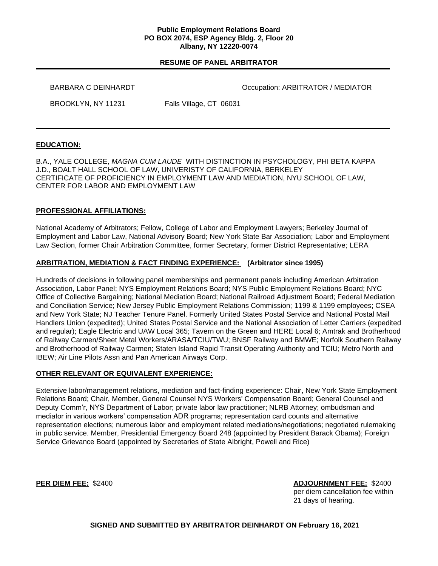### **Public Employment Relations Board PO BOX 2074, ESP Agency Bldg. 2, Floor 20 Albany, NY 12220-0074**

## **RESUME OF PANEL ARBITRATOR**

BARBARA C DEINHARDT **CONFIDENT CONTROLL CONTRATOR CONTRATOR / MEDIATOR** 

BROOKLYN, NY 11231 Falls Village, CT 06031

# **EDUCATION:**

B.A., YALE COLLEGE, *MAGNA CUM LAUDE* WITH DISTINCTION IN PSYCHOLOGY, PHI BETA KAPPA J.D., BOALT HALL SCHOOL OF LAW, UNIVERISTY OF CALIFORNIA, BERKELEY CERTIFICATE OF PROFICIENCY IN EMPLOYMENT LAW AND MEDIATION, NYU SCHOOL OF LAW, CENTER FOR LABOR AND EMPLOYMENT LAW

# **PROFESSIONAL AFFILIATIONS:**

National Academy of Arbitrators; Fellow, College of Labor and Employment Lawyers; Berkeley Journal of Employment and Labor Law, National Advisory Board; New York State Bar Association; Labor and Employment Law Section, former Chair Arbitration Committee, former Secretary, former District Representative; LERA

# **ARBITRATION, MEDIATION & FACT FINDING EXPERIENCE: (Arbitrator since 1995)**

Hundreds of decisions in following panel memberships and permanent panels including American Arbitration Association, Labor Panel; NYS Employment Relations Board; NYS Public Employment Relations Board; NYC Office of Collective Bargaining; National Mediation Board; National Railroad Adjustment Board; Federal Mediation and Conciliation Service; New Jersey Public Employment Relations Commission; 1199 & 1199 employees; CSEA and New York State; NJ Teacher Tenure Panel. Formerly United States Postal Service and National Postal Mail Handlers Union (expedited); United States Postal Service and the National Association of Letter Carriers (expedited and regular); Eagle Electric and UAW Local 365; Tavern on the Green and HERE Local 6; Amtrak and Brotherhood of Railway Carmen/Sheet Metal Workers/ARASA/TCIU/TWU; BNSF Railway and BMWE; Norfolk Southern Railway and Brotherhood of Railway Carmen; Staten Island Rapid Transit Operating Authority and TCIU; Metro North and IBEW; Air Line Pilots Assn and Pan American Airways Corp.

# **OTHER RELEVANT OR EQUIVALENT EXPERIENCE:**

Extensive labor/management relations, mediation and fact-finding experience: Chair, New York State Employment Relations Board; Chair, Member, General Counsel NYS Workers' Compensation Board; General Counsel and Deputy Comm'r, NYS Department of Labor; private labor law practitioner; NLRB Attorney; ombudsman and mediator in various workers' compensation ADR programs; representation card counts and alternative representation elections; numerous labor and employment related mediations/negotiations; negotiated rulemaking in public service. Member, Presidential Emergency Board 248 (appointed by President Barack Obama); Foreign Service Grievance Board (appointed by Secretaries of State Albright, Powell and Rice)

**PER DIEM FEE:** \$2400 **ADJOURNMENT FEE:** \$2400 per diem cancellation fee within 21 days of hearing.

 **SIGNED AND SUBMITTED BY ARBITRATOR DEINHARDT ON February 16, 2021**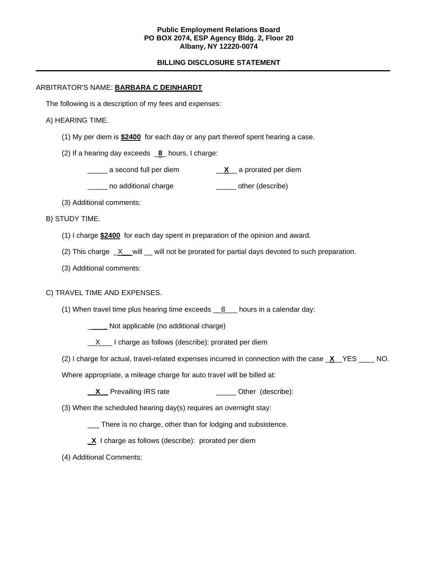### **Public Employment Relations Board PO BOX 2074, ESP Agency Bldg. 2, Floor 20 Albany, NY 12220-0074**

## **BILLING DISCLOSURE STATEMENT**

## ARBITRATOR'S NAME: **BARBARA C DEINHARDT**

The following is a description of my fees and expenses:

### A) HEARING TIME.

- (1) My per diem is **\$2400** for each day or any part thereof spent hearing a case.
- (2) If a hearing day exceeds \_**8**\_ hours, I charge:
	- \_\_\_\_\_ a second full per diem \_\_**X**\_\_ a prorated per diem
	- \_\_\_\_ no additional charge \_\_\_\_\_\_\_ other (describe)
- (3) Additional comments:

#### B) STUDY TIME.

- (1) I charge **\$2400** for each day spent in preparation of the opinion and award.
- (2) This charge \_X**\_\_** will \_\_ will not be prorated for partial days devoted to such preparation.
- (3) Additional comments:

### C) TRAVEL TIME AND EXPENSES.

- (1) When travel time plus hearing time exceeds  $\underline{\phantom{a}8}$  hours in a calendar day:
	- \_ **\_** Not applicable (no additional charge)
	- $\underline{X}$  I charge as follows (describe): prorated per diem
- (2) I charge for actual, travel-related expenses incurred in connection with the case \_**X**\_\_YES \_\_\_\_ NO.

Where appropriate, a mileage charge for auto travel will be billed at:

- **X** Prevailing IRS rate \_\_\_\_\_\_\_\_\_\_\_\_\_\_\_\_ Other (describe):
- (3) When the scheduled hearing day(s) requires an overnight stay:
	- \_\_\_ There is no charge, other than for lodging and subsistence.
	- **\_X** I charge as follows (describe): prorated per diem
- (4) Additional Comments: